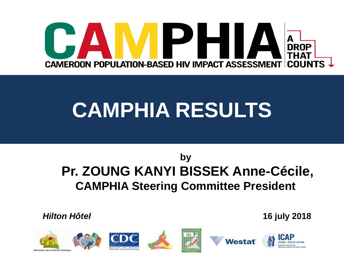

# **CAMPHIA RESULTS**

#### **by Pr. ZOUNG KANYI BISSEK Anne-Cécile, CAMPHIA Steering Committee President**

*Hilton Hôtel* **16 july 2018**

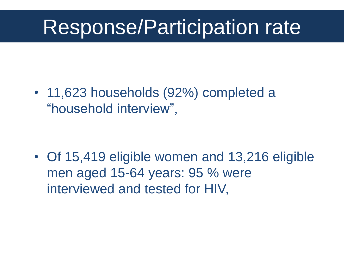#### Response/Participation rate

• 11,623 households (92%) completed a "household interview",

• Of 15,419 eligible women and 13,216 eligible men aged 15-64 years: 95 % were interviewed and tested for HIV,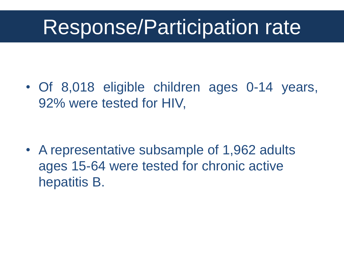#### Response/Participation rate

• Of 8,018 eligible children ages 0-14 years, 92% were tested for HIV,

• A representative subsample of 1,962 adults ages 15-64 were tested for chronic active hepatitis B.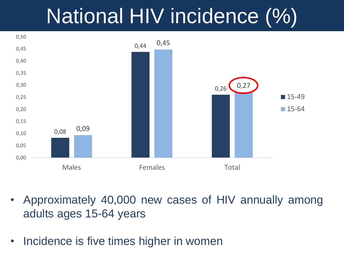## National HIV incidence (%)



- Approximately 40,000 new cases of HIV annually among adults ages 15-64 years
- Incidence is five times higher in women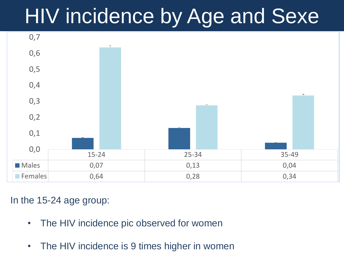## HIV incidence by Age and Sexe



In the 15-24 age group:

- The HIV incidence pic observed for women
- The HIV incidence is 9 times higher in women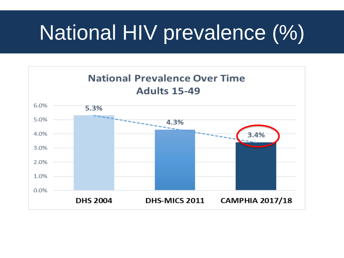# National HIV prevalence (%)

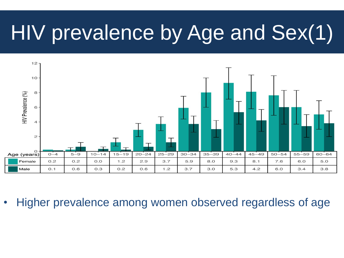## HIV prevalence by Age and Sex(1)



• Higher prevalence among women observed regardless of age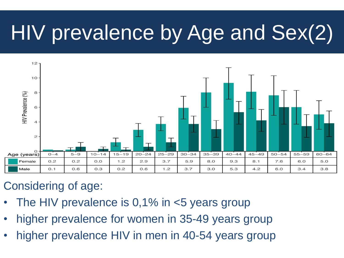# HIV prevalence by Age and Sex(2)



#### Considering of age:

- The HIV prevalence is  $0,1\%$  in  $\lt 5$  years group
- higher prevalence for women in 35-49 years group
- higher prevalence HIV in men in 40-54 years group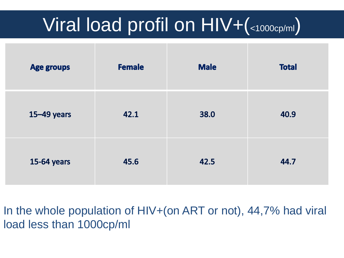#### Viral load profil on  $HIV+$ (<1000cp/ml)

| <b>Age groups</b> | <b>Female</b> | <b>Male</b> | <b>Total</b> |
|-------------------|---------------|-------------|--------------|
| $15 - 49$ years   | 42.1          | 38.0        | 40.9         |
| 15-64 years       | 45.6          | 42.5        | 44.7         |

In the whole population of HIV+(on ART or not), 44,7% had viral load less than 1000cp/ml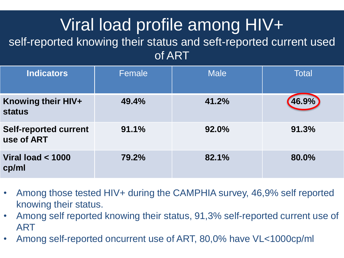#### Viral load profile among HIV+

#### self-reported knowing their status and seft-reported current used of ART

| <b>Indicators</b>                          | Female | <b>Male</b> | <b>Total</b> |
|--------------------------------------------|--------|-------------|--------------|
| Knowing their HIV+<br><b>status</b>        | 49.4%  | 41.2%       | 46.9%        |
| <b>Self-reported current</b><br>use of ART | 91.1%  | 92.0%       | 91.3%        |
| Viral load $<$ 1000<br>cp/ml               | 79.2%  | 82.1%       | 80.0%        |

- Among those tested HIV+ during the CAMPHIA survey, 46,9% self reported knowing their status.
- Among self reported knowing their status, 91,3% self-reported current use of ART
- Among self-reported oncurrent use of ART, 80,0% have VL<1000cp/ml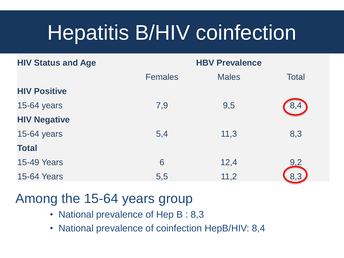# Hepatitis B/HIV coinfection

| <b>HIV Status and Age</b> | <b>HBV Prevalence</b> |              |              |  |
|---------------------------|-----------------------|--------------|--------------|--|
|                           | <b>Females</b>        | <b>Males</b> | <b>Total</b> |  |
| <b>HIV Positive</b>       |                       |              |              |  |
| 15-64 years               | 7,9                   | 9,5          | 8,4          |  |
| <b>HIV Negative</b>       |                       |              |              |  |
| 15-64 years               | 5,4                   | 11,3         | 8,3          |  |
| <b>Total</b>              |                       |              |              |  |
| <b>15-49 Years</b>        | 6                     | 12,4         | 9.2          |  |
| <b>15-64 Years</b>        | 5,5                   | 11,2         | 8,3          |  |

#### Among the 15-64 years group

- National prevalence of Hep B : 8,3
- National prevalence of coinfection HepB/HIV: 8,4